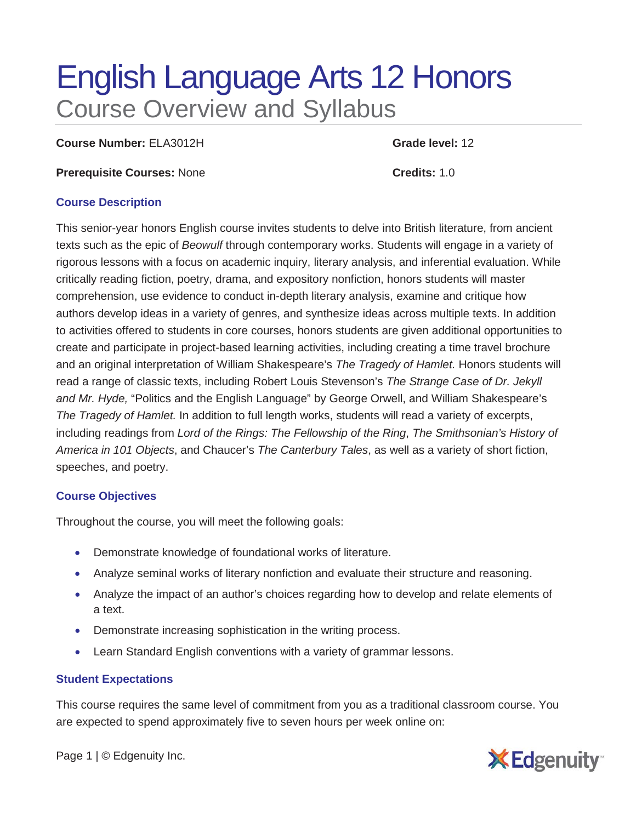# English Language Arts 12 Honors Course Overview and Syllabus

**Course Number:** ELA3012H **Grade level:** 12

**Prerequisite Courses:** None **Credits:** 1.0

#### **Course Description**

This senior-year honors English course invites students to delve into British literature, from ancient texts such as the epic of *Beowulf* through contemporary works. Students will engage in a variety of rigorous lessons with a focus on academic inquiry, literary analysis, and inferential evaluation. While critically reading fiction, poetry, drama, and expository nonfiction, honors students will master comprehension, use evidence to conduct in-depth literary analysis, examine and critique how authors develop ideas in a variety of genres, and synthesize ideas across multiple texts. In addition to activities offered to students in core courses, honors students are given additional opportunities to create and participate in project-based learning activities, including creating a time travel brochure and an original interpretation of William Shakespeare's *The Tragedy of Hamlet.* Honors students will read a range of classic texts, including Robert Louis Stevenson's *The Strange Case of Dr. Jekyll and Mr. Hyde,* "Politics and the English Language" by George Orwell, and William Shakespeare's *The Tragedy of Hamlet.* In addition to full length works, students will read a variety of excerpts, including readings from *Lord of the Rings: The Fellowship of the Ring*, *The Smithsonian's History of America in 101 Objects*, and Chaucer's *The Canterbury Tales*, as well as a variety of short fiction, speeches, and poetry.

## **Course Objectives**

Throughout the course, you will meet the following goals:

- Demonstrate knowledge of foundational works of literature.
- Analyze seminal works of literary nonfiction and evaluate their structure and reasoning.
- Analyze the impact of an author's choices regarding how to develop and relate elements of a text.
- Demonstrate increasing sophistication in the writing process.
- Learn Standard English conventions with a variety of grammar lessons.

## **Student Expectations**

This course requires the same level of commitment from you as a traditional classroom course. You are expected to spend approximately five to seven hours per week online on:

Page 1 | © Edgenuity Inc.